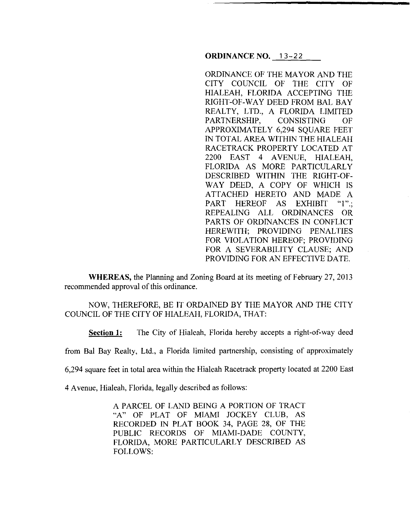**ORDINANCE NO.** 13-22

ORDINANCE OF THE MAYOR AND THE CITY COUNCIL OF THE CITY OF HIALEAH, FLORIDA ACCEPTING THE RIGHT-OF-WAY DEED FROM BAL BAY REALTY, LTD., A FLORIDA LIMITED PARTNERSHIP, CONSISTING OF APPROXIMATELY 6,294 SQUARE FEET IN TOTAL AREA WITHIN THE HIALEAH RACETRACK PROPERTY LOCATED AT 2200 EAST 4 AVENUE, HIALEAH, FLORIDA AS MORE PARTICULARLY DESCRIBED WITHIN THE RIGHT-OF-WAY DEED, A COPY OF WHICH IS ATTACHED HERETO AND MADE A PART HEREOF AS EXHIBIT "1".; REPEALING ALL ORDINANCES OR PARTS OF ORDINANCES IN CONFLICT HEREWITH; PROVIDING PENALTIES FOR VIOLATION HEREOF; PROVIDING FOR A SEVERABILITY CLAUSE; AND PROVIDING FOR AN EFFECTIVE DATE.

**WHEREAS,** the Planning and Zoning Board at its meeting of February 27, 2013 recommended approval of this ordinance.

## NOW, THEREFORE, BE IT ORDAINED BY THE MAYOR AND THE CITY COUNCIL OF THE CITY OF HIALEAH, FLORIDA, THAT:

**Section 1:** The City of Hialeah, Florida hereby accepts a right-of-way deed

from Bal Bay Realty, Ltd., a Florida limited partnership, consisting of approximately

6,294 square feet in total area within the Hialeah Racetrack property located at 2200 East

4 A venue, Hialeah, Florida, legally described as follows:

A PARCEL OF LAND BEING A PORTION OF TRACT "A" OF PLAT OF MIAMI JOCKEY CLUB, AS RECORDED IN PLAT BOOK 34, PAGE 28, OF THE PUBLIC RECORDS OF MIAMI-DADE COUNTY, FLORIDA, MORE PARTICULARLY DESCRIBED AS FOLLOWS: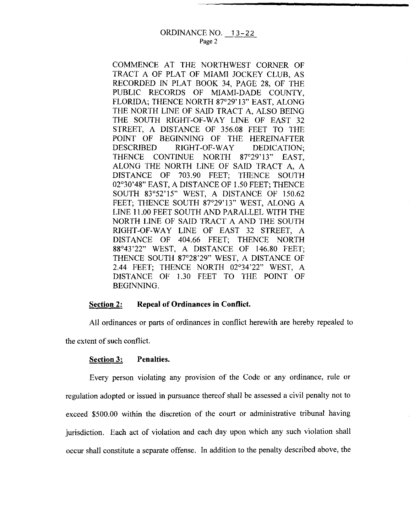COMMENCE AT THE NORTHWEST CORNER OF TRACT A OF PLAT OF MIAMI JOCKEY CLUB, AS RECORDED IN PLAT BOOK 34, PAGE 28, OF THE PUBLIC RECORDS OF MIAMI-DADE COUNTY, FLORIDA; THENCE NORTH 87°29' 13" EAST, ALONG THE NORTH LINE OF SAID TRACT A, ALSO BEING THE SOUTH RIGHT-OF-WAY LINE OF EAST 32 STREET, A DISTANCE OF 356.08 FEET TO THE POINT OF BEGINNING OF THE HEREINAFTER DESCRIBED RIGHT-OF-WAY DEDICATION; THENCE CONTINUE NORTH 87°29'13" EAST, ALONG THE NORTH LINE OF SAID TRACT A, A DISTANCE OF 703.90 FEET; THENCE SOUTH 02°30'48" EAST, A DISTANCE OF I .50 FEET; THENCE SOUTH 83°52'15" WEST, A DISTANCE OF 150.62 FEET; THENCE SOUTH 87°29'13" WEST, ALONG A LINE 11.00 FEET SOUTH AND PARALLEL WITH THE NORTH LINE OF SAID TRACT A AND THE SOUTH RIGHT-OF-WAY LINE OF EAST 32 STREET, A DISTANCE OF 404.66 FEET; THENCE NORTH 88°43'22" WEST, A DISTANCE OF 146.80 FEET; THENCE SOUTH 87°28'29" WEST, A DISTANCE OF 2.44 FEET; THENCE NORTH 02°34'22" WEST, A DISTANCE OF 1.30 FEET TO THE POINT OF BEGINNING.

## **Section 2: Repeal of Ordinances in Conflict.**

All ordinances or parts of ordinances in conflict herewith are hereby repealed to the extent of such conflict.

## **Section 3: Penalties.**

Every person violating any provision of the Code or any ordinance, rule or regulation adopted or issued in pursuance thereof shall be assessed a civil penalty not to exceed \$500.00 within the discretion of the court or administrative tribunal having jurisdiction. Each act of violation and each day upon which any such violation shall occur shall constitute a separate offense. In addition to the penalty described above, the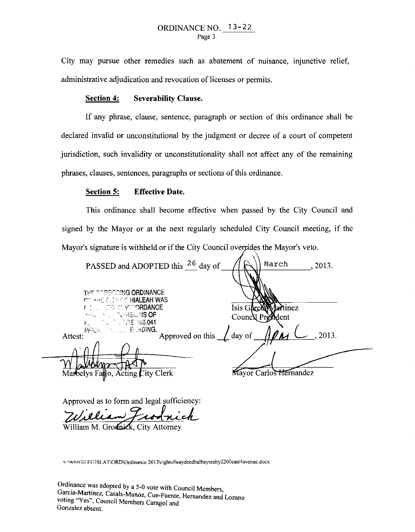City may pursue other remedies such as abatement of nuisance, injunctive relief, administrative adjudication and revocation of licenses or permits.

## **Section 4: Severability Clause.**

If any phrase, clause, sentence, paragraph or section of this ordinance shall be declared invalid or unconstitutional by the judgment or decree of a court of competent jurisdiction, such invalidity or unconstitutionality shall not affect any of the remaining phrases, clauses, sentences, paragraphs or sections of this ordinance.

### **Section 5: Effective Date.**

This ordinance shall become effective when passed by the City Council and signed by the Mayor or at the next regularly scheduled City Council meeting, if the Mayor's signature is withheld or if the City Council overtides the Mayor's veto.

| PASSED and ADOPTED this <sup>26</sup> day of                                                                                            | March<br>, 2013.                            |
|-----------------------------------------------------------------------------------------------------------------------------------------|---------------------------------------------|
| <b>THE FORECOING ORDINANCE</b><br><b>CITA HE CLEY OF HIALEAH WAS</b><br><b>FISHER TO MEAN ACCORDANCE</b><br>MEL THE POVISIONS <b>OF</b> | Isis Garch<br>Martinez<br>Council President |
| PRICE J. N. L. L. READING.<br>Approved on this $\angle$ day of<br>Attest:                                                               | , 2013.                                     |
| Marbelys Falljo, Acting City Clerk                                                                                                      | <b>Mayor Carlos Hernandez</b>               |

Approved as to form and legal sufficiency: Approved as to form and legal sufficiency:<br>
Zuilliam Front Rich

SAWMGM FGISLAT\ORD\Ordinance 2013\rightofwaydeedbalbayrealty2200east4avenue.docx

Ordinance was adopted by a 5-0 vote with Council Members, Garcia-Martinez, Casals-Munoz, Cue-Fuente, Hernandez and Lozano voting "Yes", Council Members Caragol and Gonzalez absent.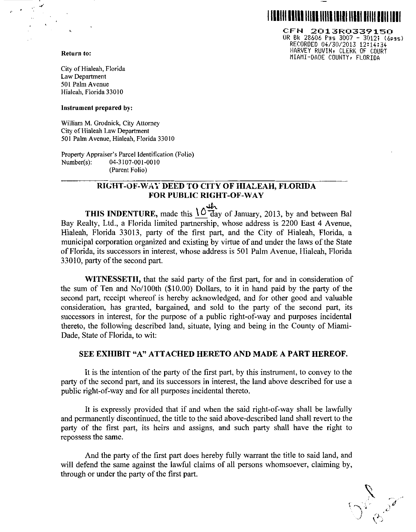

CFN 2013R0339150 OR Bk 28606 f'ss 3007 - 3012; (6pgs) RECORDED 04/30/2013 12:14:34- HARVEY RUVIN, CLERK OF COURT MIAMI-DADE COUNTY, FLORIDA

Return to:

City of Hialeah, Florida Law Department 501 Palm Avenue Hialeah, Florida 33010

Instrument prepared by:

William M. Grodnick, City Attorney City of Hialeah Law Department 501 Palm Avenue, Hialeah, Florida 33010

Property Appraiser's Parcel Identification (Folio) Number(s): 04-3107-001-0010 (Parent Folio)

# RIGHT-OF-WAY DEED TO CITY OF HIALEAH, FLORIDA FOR PUBLIC RIGHT-OF-WAY

 $\frac{1}{2}$ THIS INDENTURE, made this  $\frac{10}{2}$  day of January, 2013, by and between Bal Bay Realty, Ltd., a Florida limited partnership, whose address is 2200 East 4 Avenue, Hialeah, Florida 33013, party of the first part, and the City of Hialeah, Florida, a municipal corporation organized and existing by virtue of and under the laws of the State of Florida, its successors in interest, whose address is 501 Palm Avenue, Hialeah, Florida 33010, party of the second part.

WITNESSETH, that the said party of the first part, for and in consideration of the sum of Ten and No/100th  $(\$10.00)$  Dollars, to it in hand paid by the party of the second part, receipt whereof is hereby acknowledged, and for other good and valuable consideration, has granted, bargained, and sold to the party of the second part, its successors in interest, for the purpose of a public right-of-way and purposes incidental thereto, the following described land, situate, lying and being in the County of Miami-Dade, State of Florida, to wit:

## SEE EXHIBIT "A" ATTACHED HERETO AND MADE A PART HEREOF.

It is the intention of the party of the first part, by this instrument, to convey to the party of the second part, and its successors in interest, the land above described for use a public right-of-way and for all purposes incidental thereto.

It is expressly provided that if and when the said right-of-way shall be lawfully and permanently discontinued, the title to the said above-described land shall revert to the party of the first part, its heirs and assigns, and such party shall have the right to repossess the same.

And the party of the first part does hereby fully warrant the title to said land, and will defend the same against the lawful claims of all persons whomsoever, claiming by, through or under the party of the first part.

 $\bigcup_{i=1}^{N}$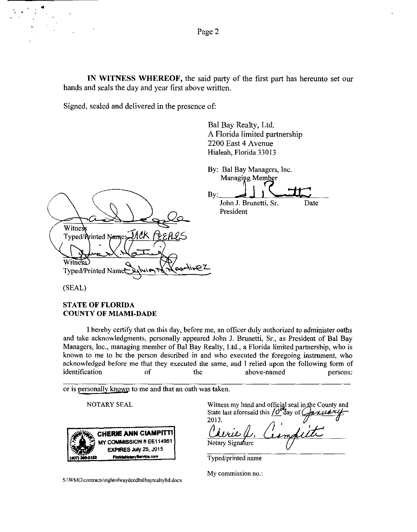**IN WITNESS WHEREOF,** the said party of the first part has hereunto set our hands and seals the day and year first above written.

Signed, sealed and delivered in the presence of:

Bal Bay Realty, Ltd. A Florida limited partnership 2200 East 4 Avenue Hialeah, Florida 33013

|                                                      | By: Bal Bay Managers, Inc. |      |
|------------------------------------------------------|----------------------------|------|
|                                                      | Managing Member            |      |
|                                                      | $\mathbf{B}$ v:            |      |
|                                                      | John J. Brunetti, Sr.      | Date |
|                                                      | President                  |      |
| Witness                                              |                            |      |
| Typed/Printed Name: <i>JACK PEEPLES</i>              |                            |      |
|                                                      |                            |      |
| <b>Witness</b>                                       |                            |      |
| $\sqrt{P_{n-1}}$<br>Typed/Printed Name<br>امدا بسع ح |                            |      |
|                                                      |                            |      |

(SEAL)

·.

## **STATE OF FLORIDA COUNTY OF MIAMI-DADE**

I hereby certify that on this day, before me, an officer duly authorized to administer oaths and take acknowledgments, personally appeared John J. Brunetti, Sr., as President of Bal Bay Managers, Inc., managing member of Bal Bay Realty, Ltd., a Florida limited partnership, who is known to me to be the person described in and who executed the foregoing instrument, who acknowledged before me that they executed the same, and I relied upon the following form of identification of the above-named persons:

or is personally known to me and that an oath was taken.

NOTARY SEAL



Witness my hand and official seal in the County and State last aforesaid this  $\underline{\int \mathcal{O}^{\alpha}}$ day of  $\underline{\int \mathcal{A}^{\alpha}}$ 2013. Notary Signature

Typed/printed name

**My commission no.:** 

**S :\ WM G\contracts \ri ghtofwaydeedbal bayrealtyltd.docx**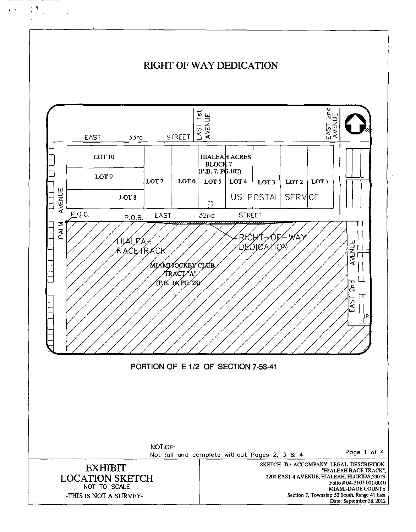

 $\mathcal{N}_\mathrm{c}$ 

 $\ddot{\phantom{0}}$ 

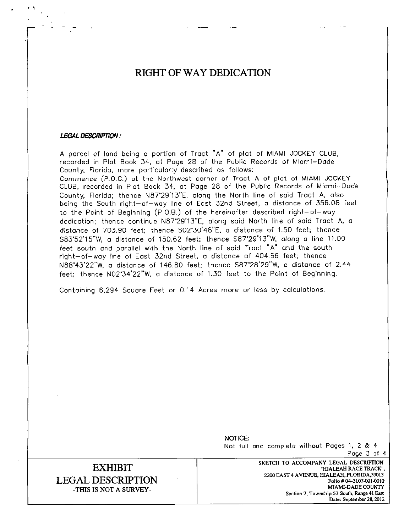# **RIGHT OF WAY DEDICATION**

#### **LEGAL DESCRIPTION:**

 $\cdot$   $\prime$ 

.!

A parcel of land being a portion of Tract "A" of plat of MIAMI JOCKEY CLUB, recorded in Plat Book 34, at Page 28 of the Public Records of Miami-Dade County, Florida, more particularly described as follows: Commence (P.O.C.) at the Northwest corner of Tract A of plat of MiAMI JOCKEY CLUB, recorded in Plat Book 34, at Page 28 of the Public Records of Miami-Dade County, Florida; thence N8T29'13"E, along the North line of said Tract A, also being the South right-of-way line of East 32nd Street, a distance of 356.08 feet to the Point of Beginning (P.O.B.) of the hereinafter described right-of-way dedication; thence continue N8T29'13"E, along said North line of said Tract A, a distance of 703.90 feet; \hence S02"30'48"E, a distance of 1.50 feet; thence S83'52'15"W, a distance of 150.62 feet; thence S87'29'13"W, along a line 11.00 feet south and parallel with the North line of said Tract "A" and the south right-of-way line of East 32nd Street, a distance of 404.66 feet; \hence N88'43'22"W, a distance of 146.80 feet; thence S87'28'29"W, a distance of 2.44 feet; thence N02'34'22"W, a distance of 1.30 feet to the Point of Beginning.

Containing 6,294 Square Feet or 0.14 Acres more or less by calculations.

NOTICE: Not full and complete without Pages 1, 2 & 4 Page 3 of 4

# **EXHIBIT LEGAL DESCRIPTION**  -THIS IS NOT A SURVEY-

SKETCH TO ACCOMPANY LEGAL DESCRIPTION "HIALEAH RACE TRACK", 2200 EAST 4 A VENUE, HIALEAH, FLORIDA,33013 Folio# 04-3107.001.0010 MIAMI-DADE COUNTY **Section 7, Township 53 South, Range 41 East Date: September28, 2012**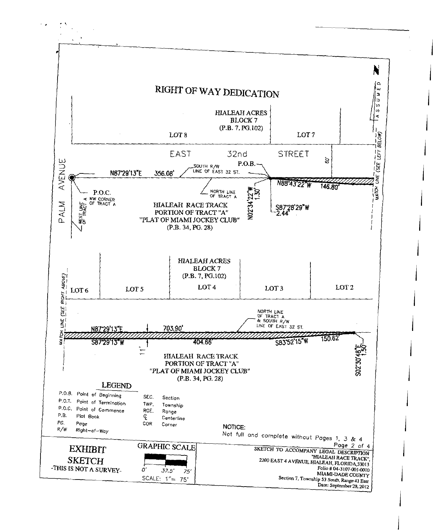

j

j

j

j

 $\mathbf{I}$ 

j